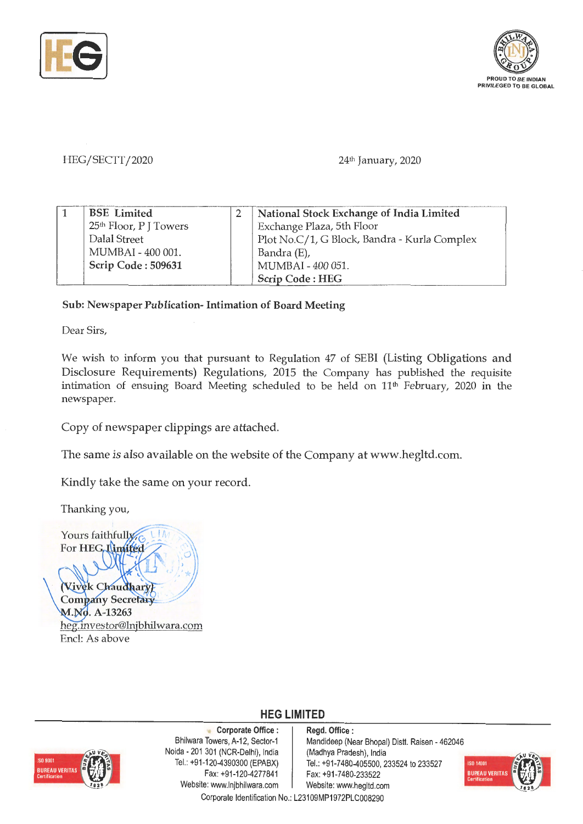



HEG/SECTT/2020 24th January, 2020

| <b>BSE</b> Limited                 | National Stock Exchange of India Limited     |
|------------------------------------|----------------------------------------------|
| 25 <sup>th</sup> Floor, P J Towers | Exchange Plaza, 5th Floor                    |
| Dalal Street                       | Plot No.C/1, G Block, Bandra - Kurla Complex |
| MUMBAI - 400 001.                  | Bandra (E),                                  |
| Scrip Code: 509631                 | MUMBAI - 400 051.                            |
|                                    | <b>Scrip Code: HEG</b>                       |

## **Sub: Newspaper Publication- Intimation of Board Meeting**

Dear Sirs,

We wish to inform you that pursuant to Regulation 47 of SEBI (Listing Obligations and Disclosure Requirements) Regulations, 2015 the Company has published the requisite intimation of ensuing Board Meeting scheduled to be held on 11<sup>th</sup> February, 2020 in the newspaper.

Copy of newspaper clippings are attached.

The same is also available on the website of the Company at www.hegltd.com.

Kindly take the same on your record.

Thanking you,

Yours faithfully For HEG, Limited **Wivek Chaudhary Company Secretary** M.No. A-13263 heg.mvestor@lnjbhilwara.com Encl: As above



**Corporate Office** : Bhilwara Towers, A-12, Sector-1 Naida - 201 301 (NCR-Delhi), India Tel.: +9 1-120-4390300 (EPABX) Fax: +91-120-4277841 Website: www.lnjbhilwara.com | Website: www.hegltd.com

**Regd. Office** : Mandideep (Near Bhopal) Distt. Raisen - 462046 (Madhya Pradesh), India Tel.: +91-7480-405500, 233524 to 233527 Fax:+91-7480-233522



Corporate Identification No.: L23109MP1972PLC008290

**HEG LIMITED**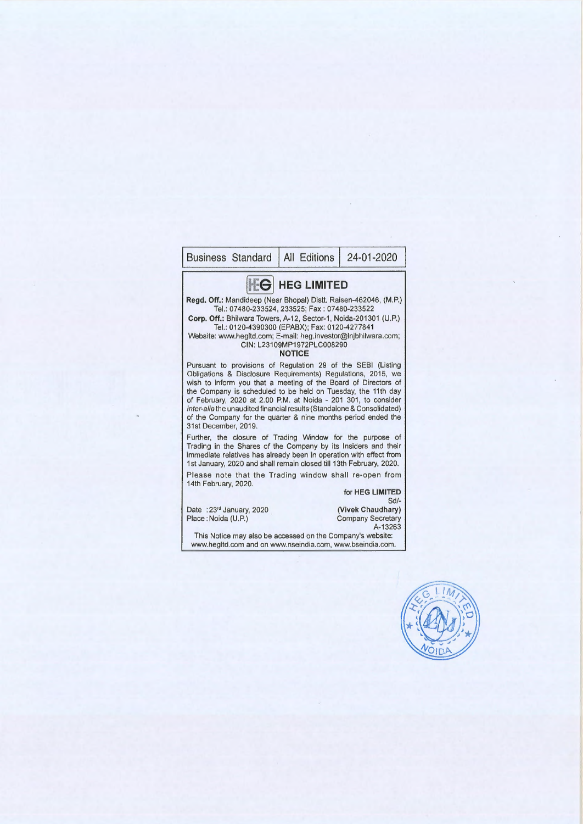## Business Standard | All Editions | 24-01-2020 **EG** HEG LIMITED **Regd. Off.:** Mandideep (Near Bhopal) Dist!. Raisen-462046, (M.P.) Tel.: 07480-233524, 233525; Fax: 07480-233522 **Corp. Off.:** Bhilwara Towers, A-12, Sector-1, Noida-201301 (U.P.) Tel.: 0120-4390300 (EPABX); Fax: 0120-4277841 Website: www.hegltd.com; E-mail: heg.investor@lnjbhilwara.com; CIN: L23109MP1972PLC008290 **NOTICE**  Pursuant to provisions of Regulation 29 of the SEBI (Listing Obligations & Disclosure Requirements) Regulations, 2015, we wish to inform you that a meeting of the Board of Directors of the Company is scheduled to be held on Tuesday, the 11th day of February, 2020 at 2.00 P.M. at Naida - 201 301, to consider inter-alia the unaudited financial results (Standalone & Consolidated) of the Company for the quarter & nine months period ended the 31st December, 2019. Further, the closure of Trading Window for the purpose of Trading in the Shares of the Company by its Insiders and their immediate relatives has already been in operation with effect from 1st January, 2020 and shall remain closed till 13th February, 2020. Please note that the Trading window shall re-open from 14th February, 2020. Date : 23rd January, 2020 Place : Noida (U.P.) for **HEG LIMITED**  Sd/- **(Vivek Chaudhary)**  Company Secretary A-13263 This Notice may also be accessed on the Company's website: www.hegltd.com and on www.nseindia.com, www.bseindia.com.